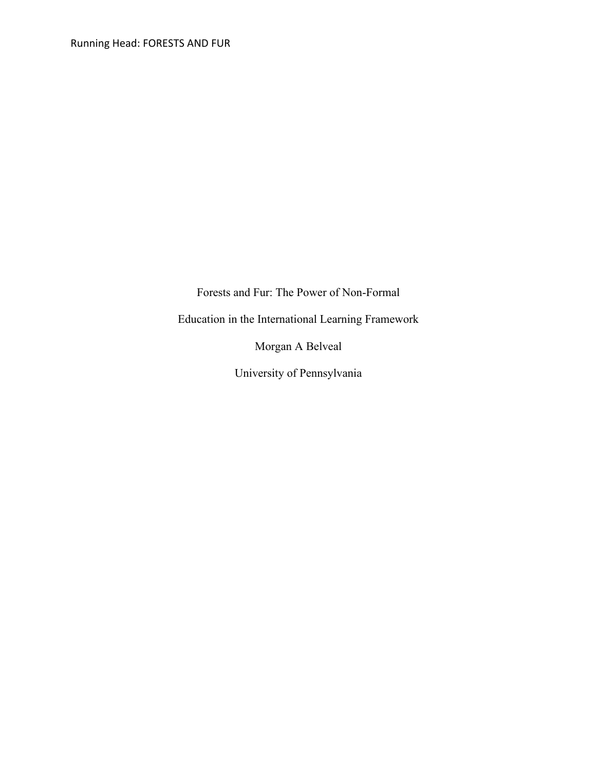Forests and Fur: The Power of Non-Formal

Education in the International Learning Framework

Morgan A Belveal

University of Pennsylvania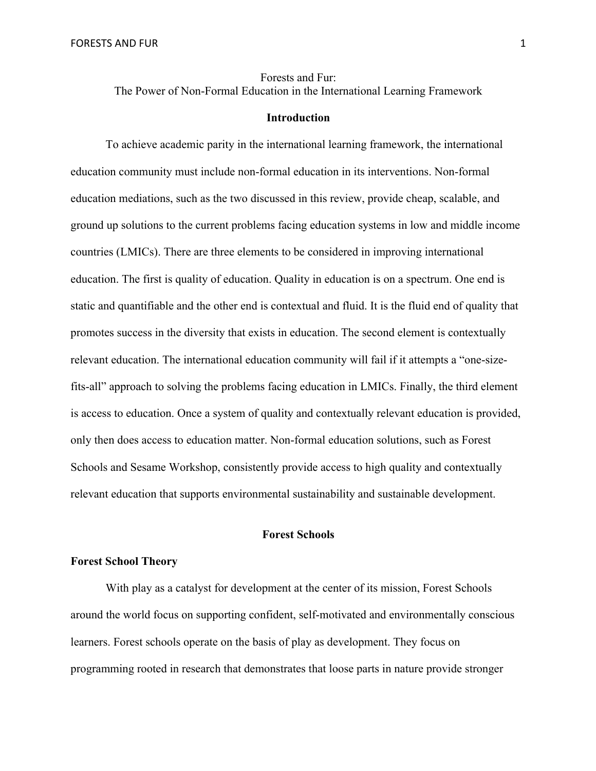Forests and Fur: The Power of Non-Formal Education in the International Learning Framework

## **Introduction**

To achieve academic parity in the international learning framework, the international education community must include non-formal education in its interventions. Non-formal education mediations, such as the two discussed in this review, provide cheap, scalable, and ground up solutions to the current problems facing education systems in low and middle income countries (LMICs). There are three elements to be considered in improving international education. The first is quality of education. Quality in education is on a spectrum. One end is static and quantifiable and the other end is contextual and fluid. It is the fluid end of quality that promotes success in the diversity that exists in education. The second element is contextually relevant education. The international education community will fail if it attempts a "one-sizefits-all" approach to solving the problems facing education in LMICs. Finally, the third element is access to education. Once a system of quality and contextually relevant education is provided, only then does access to education matter. Non-formal education solutions, such as Forest Schools and Sesame Workshop, consistently provide access to high quality and contextually relevant education that supports environmental sustainability and sustainable development.

## **Forest Schools**

## **Forest School Theory**

With play as a catalyst for development at the center of its mission, Forest Schools around the world focus on supporting confident, self-motivated and environmentally conscious learners. Forest schools operate on the basis of play as development. They focus on programming rooted in research that demonstrates that loose parts in nature provide stronger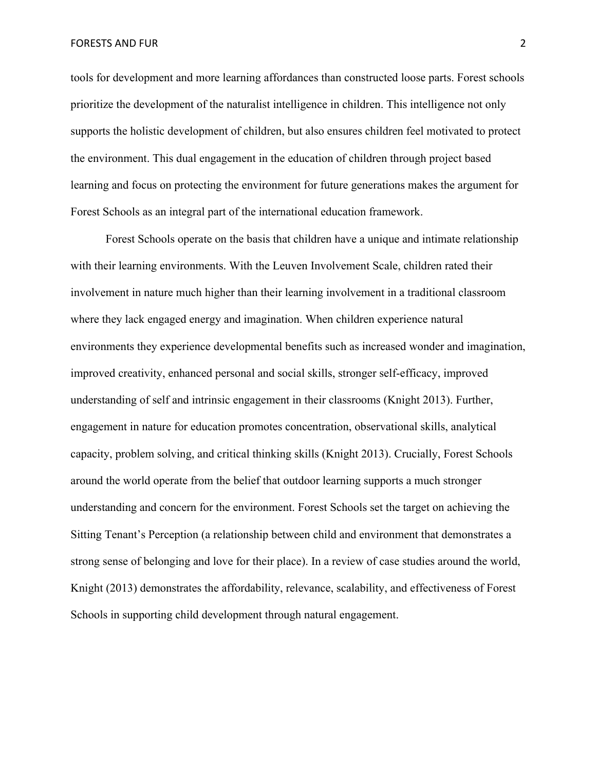tools for development and more learning affordances than constructed loose parts. Forest schools prioritize the development of the naturalist intelligence in children. This intelligence not only supports the holistic development of children, but also ensures children feel motivated to protect the environment. This dual engagement in the education of children through project based learning and focus on protecting the environment for future generations makes the argument for Forest Schools as an integral part of the international education framework.

Forest Schools operate on the basis that children have a unique and intimate relationship with their learning environments. With the Leuven Involvement Scale, children rated their involvement in nature much higher than their learning involvement in a traditional classroom where they lack engaged energy and imagination. When children experience natural environments they experience developmental benefits such as increased wonder and imagination, improved creativity, enhanced personal and social skills, stronger self-efficacy, improved understanding of self and intrinsic engagement in their classrooms (Knight 2013). Further, engagement in nature for education promotes concentration, observational skills, analytical capacity, problem solving, and critical thinking skills (Knight 2013). Crucially, Forest Schools around the world operate from the belief that outdoor learning supports a much stronger understanding and concern for the environment. Forest Schools set the target on achieving the Sitting Tenant's Perception (a relationship between child and environment that demonstrates a strong sense of belonging and love for their place). In a review of case studies around the world, Knight (2013) demonstrates the affordability, relevance, scalability, and effectiveness of Forest Schools in supporting child development through natural engagement.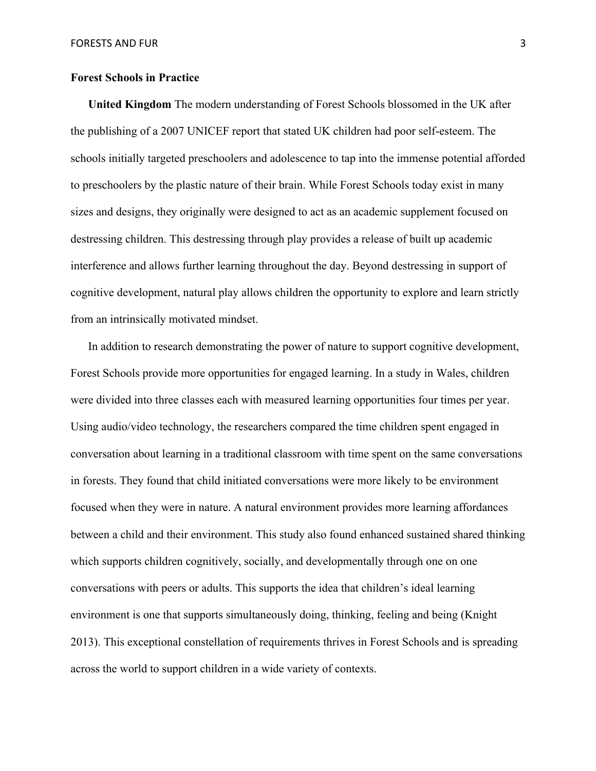## **Forest Schools in Practice**

**United Kingdom** The modern understanding of Forest Schools blossomed in the UK after the publishing of a 2007 UNICEF report that stated UK children had poor self-esteem. The schools initially targeted preschoolers and adolescence to tap into the immense potential afforded to preschoolers by the plastic nature of their brain. While Forest Schools today exist in many sizes and designs, they originally were designed to act as an academic supplement focused on destressing children. This destressing through play provides a release of built up academic interference and allows further learning throughout the day. Beyond destressing in support of cognitive development, natural play allows children the opportunity to explore and learn strictly from an intrinsically motivated mindset.

In addition to research demonstrating the power of nature to support cognitive development, Forest Schools provide more opportunities for engaged learning. In a study in Wales, children were divided into three classes each with measured learning opportunities four times per year. Using audio/video technology, the researchers compared the time children spent engaged in conversation about learning in a traditional classroom with time spent on the same conversations in forests. They found that child initiated conversations were more likely to be environment focused when they were in nature. A natural environment provides more learning affordances between a child and their environment. This study also found enhanced sustained shared thinking which supports children cognitively, socially, and developmentally through one on one conversations with peers or adults. This supports the idea that children's ideal learning environment is one that supports simultaneously doing, thinking, feeling and being (Knight 2013). This exceptional constellation of requirements thrives in Forest Schools and is spreading across the world to support children in a wide variety of contexts.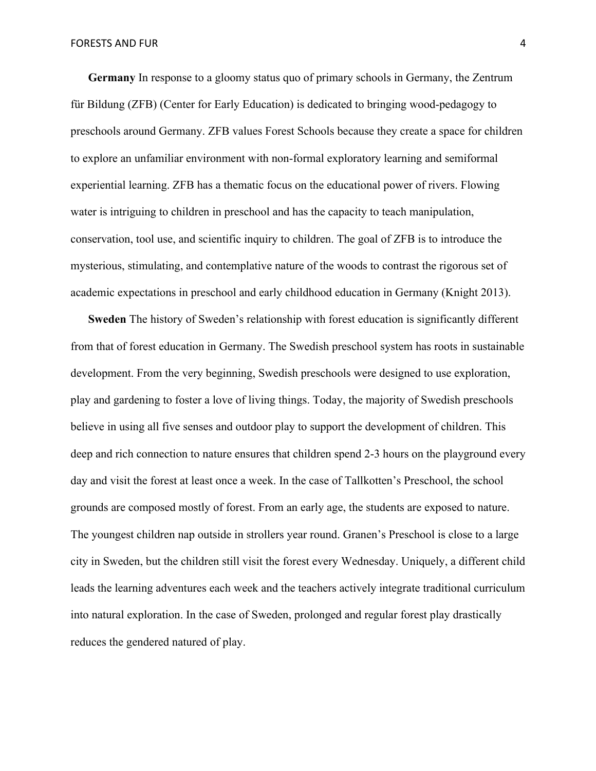**Germany** In response to a gloomy status quo of primary schools in Germany, the Zentrum für Bildung (ZFB) (Center for Early Education) is dedicated to bringing wood-pedagogy to preschools around Germany. ZFB values Forest Schools because they create a space for children to explore an unfamiliar environment with non-formal exploratory learning and semiformal experiential learning. ZFB has a thematic focus on the educational power of rivers. Flowing water is intriguing to children in preschool and has the capacity to teach manipulation, conservation, tool use, and scientific inquiry to children. The goal of ZFB is to introduce the mysterious, stimulating, and contemplative nature of the woods to contrast the rigorous set of academic expectations in preschool and early childhood education in Germany (Knight 2013).

**Sweden** The history of Sweden's relationship with forest education is significantly different from that of forest education in Germany. The Swedish preschool system has roots in sustainable development. From the very beginning, Swedish preschools were designed to use exploration, play and gardening to foster a love of living things. Today, the majority of Swedish preschools believe in using all five senses and outdoor play to support the development of children. This deep and rich connection to nature ensures that children spend 2-3 hours on the playground every day and visit the forest at least once a week. In the case of Tallkotten's Preschool, the school grounds are composed mostly of forest. From an early age, the students are exposed to nature. The youngest children nap outside in strollers year round. Granen's Preschool is close to a large city in Sweden, but the children still visit the forest every Wednesday. Uniquely, a different child leads the learning adventures each week and the teachers actively integrate traditional curriculum into natural exploration. In the case of Sweden, prolonged and regular forest play drastically reduces the gendered natured of play.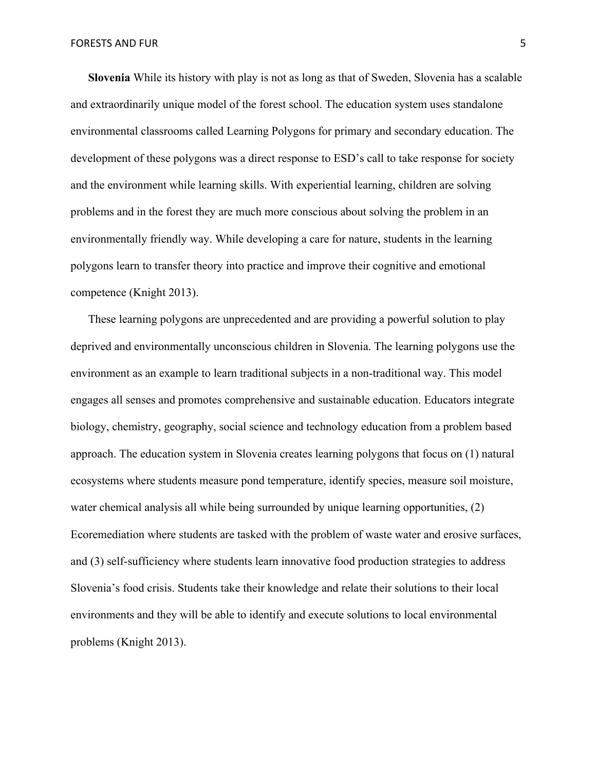**Slovenia** While its history with play is not as long as that of Sweden, Slovenia has a scalable and extraordinarily unique model of the forest school. The education system uses standalone environmental classrooms called Learning Polygons for primary and secondary education. The development of these polygons was a direct response to ESD's call to take response for society and the environment while learning skills. With experiential learning, children are solving problems and in the forest they are much more conscious about solving the problem in an environmentally friendly way. While developing a care for nature, students in the learning polygons learn to transfer theory into practice and improve their cognitive and emotional competence (Knight 2013).

These learning polygons are unprecedented and are providing a powerful solution to play deprived and environmentally unconscious children in Slovenia. The learning polygons use the environment as an example to learn traditional subjects in a non-traditional way. This model engages all senses and promotes comprehensive and sustainable education. Educators integrate biology, chemistry, geography, social science and technology education from a problem based approach. The education system in Slovenia creates learning polygons that focus on (1) natural ecosystems where students measure pond temperature, identify species, measure soil moisture, water chemical analysis all while being surrounded by unique learning opportunities, (2) Ecoremediation where students are tasked with the problem of waste water and erosive surfaces, and (3) self-sufficiency where students learn innovative food production strategies to address Slovenia's food crisis. Students take their knowledge and relate their solutions to their local environments and they will be able to identify and execute solutions to local environmental problems (Knight 2013).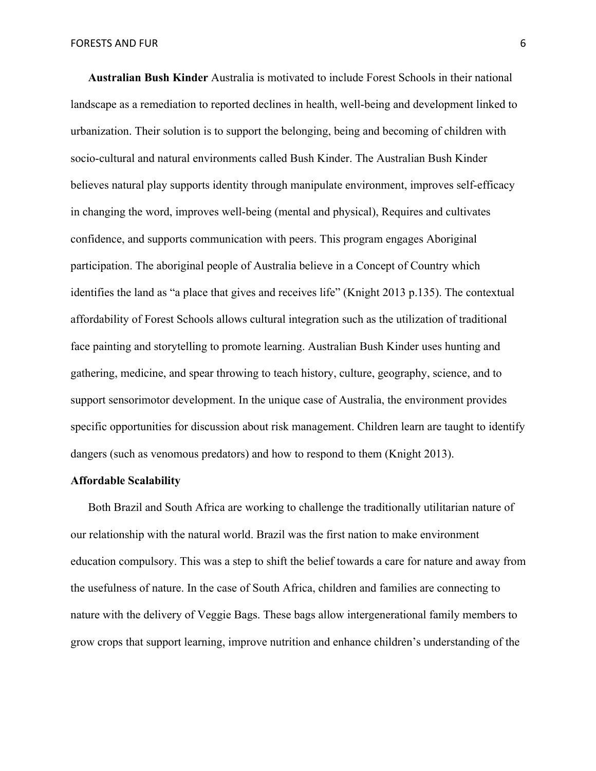**Australian Bush Kinder** Australia is motivated to include Forest Schools in their national landscape as a remediation to reported declines in health, well-being and development linked to urbanization. Their solution is to support the belonging, being and becoming of children with socio-cultural and natural environments called Bush Kinder. The Australian Bush Kinder believes natural play supports identity through manipulate environment, improves self-efficacy in changing the word, improves well-being (mental and physical), Requires and cultivates confidence, and supports communication with peers. This program engages Aboriginal participation. The aboriginal people of Australia believe in a Concept of Country which identifies the land as "a place that gives and receives life" (Knight 2013 p.135). The contextual affordability of Forest Schools allows cultural integration such as the utilization of traditional face painting and storytelling to promote learning. Australian Bush Kinder uses hunting and gathering, medicine, and spear throwing to teach history, culture, geography, science, and to support sensorimotor development. In the unique case of Australia, the environment provides specific opportunities for discussion about risk management. Children learn are taught to identify dangers (such as venomous predators) and how to respond to them (Knight 2013).

#### **Affordable Scalability**

Both Brazil and South Africa are working to challenge the traditionally utilitarian nature of our relationship with the natural world. Brazil was the first nation to make environment education compulsory. This was a step to shift the belief towards a care for nature and away from the usefulness of nature. In the case of South Africa, children and families are connecting to nature with the delivery of Veggie Bags. These bags allow intergenerational family members to grow crops that support learning, improve nutrition and enhance children's understanding of the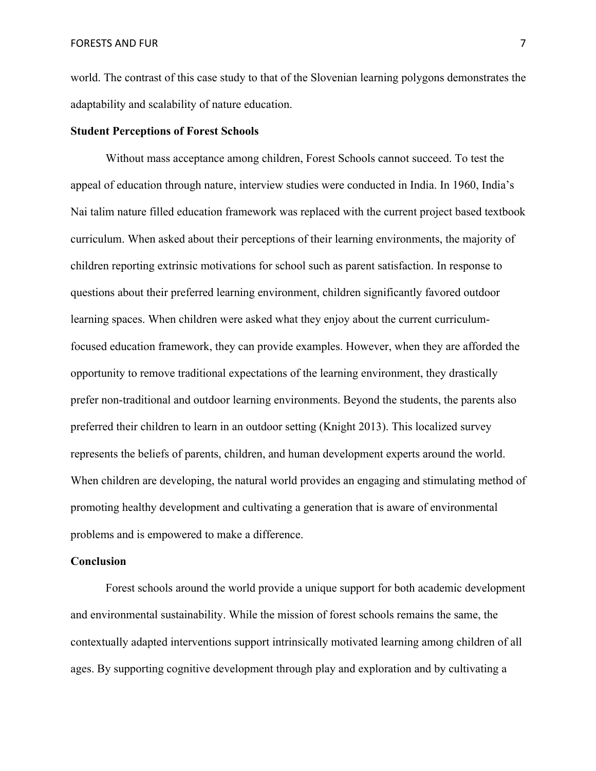world. The contrast of this case study to that of the Slovenian learning polygons demonstrates the adaptability and scalability of nature education.

### **Student Perceptions of Forest Schools**

Without mass acceptance among children, Forest Schools cannot succeed. To test the appeal of education through nature, interview studies were conducted in India. In 1960, India's Nai talim nature filled education framework was replaced with the current project based textbook curriculum. When asked about their perceptions of their learning environments, the majority of children reporting extrinsic motivations for school such as parent satisfaction. In response to questions about their preferred learning environment, children significantly favored outdoor learning spaces. When children were asked what they enjoy about the current curriculumfocused education framework, they can provide examples. However, when they are afforded the opportunity to remove traditional expectations of the learning environment, they drastically prefer non-traditional and outdoor learning environments. Beyond the students, the parents also preferred their children to learn in an outdoor setting (Knight 2013). This localized survey represents the beliefs of parents, children, and human development experts around the world. When children are developing, the natural world provides an engaging and stimulating method of promoting healthy development and cultivating a generation that is aware of environmental problems and is empowered to make a difference.

## **Conclusion**

Forest schools around the world provide a unique support for both academic development and environmental sustainability. While the mission of forest schools remains the same, the contextually adapted interventions support intrinsically motivated learning among children of all ages. By supporting cognitive development through play and exploration and by cultivating a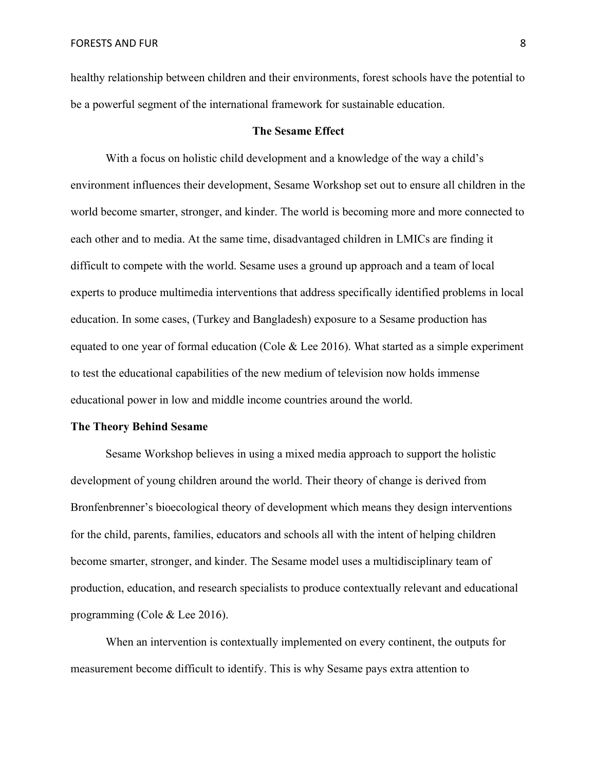healthy relationship between children and their environments, forest schools have the potential to be a powerful segment of the international framework for sustainable education.

#### **The Sesame Effect**

With a focus on holistic child development and a knowledge of the way a child's environment influences their development, Sesame Workshop set out to ensure all children in the world become smarter, stronger, and kinder. The world is becoming more and more connected to each other and to media. At the same time, disadvantaged children in LMICs are finding it difficult to compete with the world. Sesame uses a ground up approach and a team of local experts to produce multimedia interventions that address specifically identified problems in local education. In some cases, (Turkey and Bangladesh) exposure to a Sesame production has equated to one year of formal education (Cole  $& Lee 2016$ ). What started as a simple experiment to test the educational capabilities of the new medium of television now holds immense educational power in low and middle income countries around the world.

#### **The Theory Behind Sesame**

Sesame Workshop believes in using a mixed media approach to support the holistic development of young children around the world. Their theory of change is derived from Bronfenbrenner's bioecological theory of development which means they design interventions for the child, parents, families, educators and schools all with the intent of helping children become smarter, stronger, and kinder. The Sesame model uses a multidisciplinary team of production, education, and research specialists to produce contextually relevant and educational programming (Cole & Lee 2016).

When an intervention is contextually implemented on every continent, the outputs for measurement become difficult to identify. This is why Sesame pays extra attention to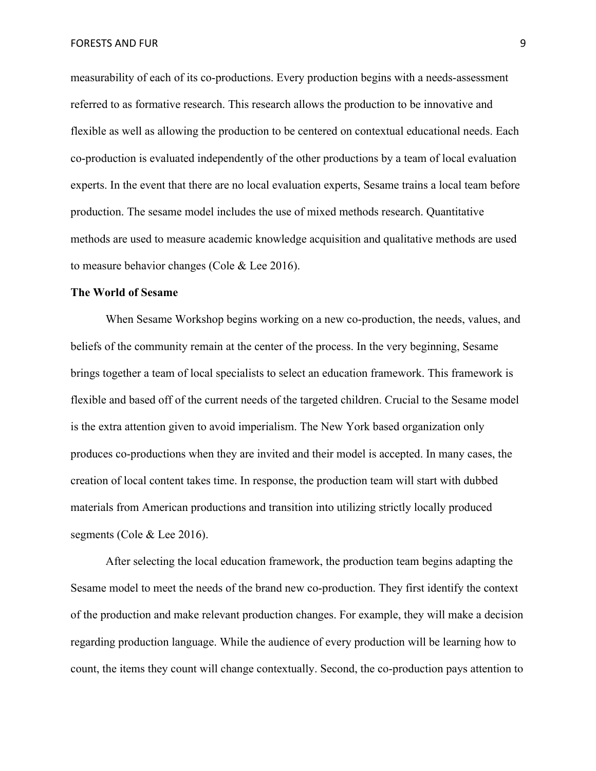FORESTS AND FUR **9** 

measurability of each of its co-productions. Every production begins with a needs-assessment referred to as formative research. This research allows the production to be innovative and flexible as well as allowing the production to be centered on contextual educational needs. Each co-production is evaluated independently of the other productions by a team of local evaluation experts. In the event that there are no local evaluation experts, Sesame trains a local team before production. The sesame model includes the use of mixed methods research. Quantitative methods are used to measure academic knowledge acquisition and qualitative methods are used to measure behavior changes (Cole & Lee 2016).

#### **The World of Sesame**

When Sesame Workshop begins working on a new co-production, the needs, values, and beliefs of the community remain at the center of the process. In the very beginning, Sesame brings together a team of local specialists to select an education framework. This framework is flexible and based off of the current needs of the targeted children. Crucial to the Sesame model is the extra attention given to avoid imperialism. The New York based organization only produces co-productions when they are invited and their model is accepted. In many cases, the creation of local content takes time. In response, the production team will start with dubbed materials from American productions and transition into utilizing strictly locally produced segments (Cole & Lee 2016).

After selecting the local education framework, the production team begins adapting the Sesame model to meet the needs of the brand new co-production. They first identify the context of the production and make relevant production changes. For example, they will make a decision regarding production language. While the audience of every production will be learning how to count, the items they count will change contextually. Second, the co-production pays attention to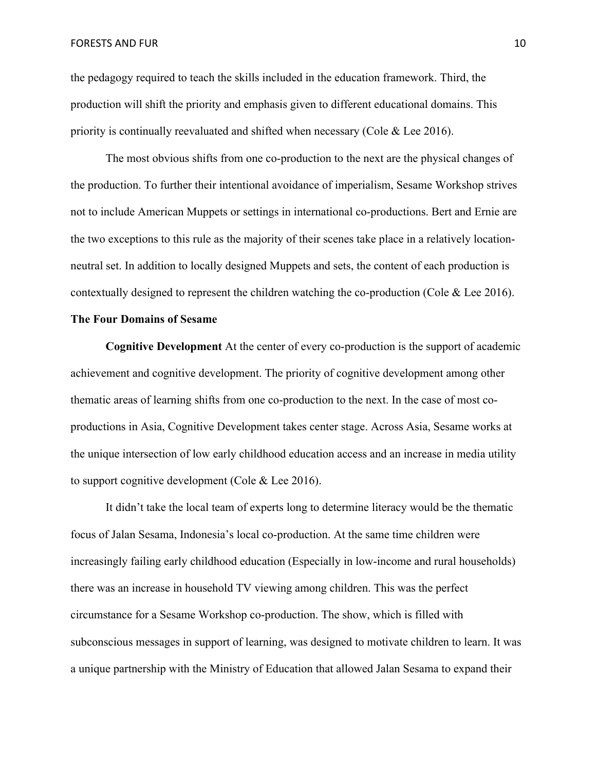the pedagogy required to teach the skills included in the education framework. Third, the production will shift the priority and emphasis given to different educational domains. This priority is continually reevaluated and shifted when necessary (Cole  $\&$  Lee 2016).

The most obvious shifts from one co-production to the next are the physical changes of the production. To further their intentional avoidance of imperialism, Sesame Workshop strives not to include American Muppets or settings in international co-productions. Bert and Ernie are the two exceptions to this rule as the majority of their scenes take place in a relatively locationneutral set. In addition to locally designed Muppets and sets, the content of each production is contextually designed to represent the children watching the co-production (Cole & Lee 2016).

#### **The Four Domains of Sesame**

**Cognitive Development** At the center of every co-production is the support of academic achievement and cognitive development. The priority of cognitive development among other thematic areas of learning shifts from one co-production to the next. In the case of most coproductions in Asia, Cognitive Development takes center stage. Across Asia, Sesame works at the unique intersection of low early childhood education access and an increase in media utility to support cognitive development (Cole & Lee 2016).

It didn't take the local team of experts long to determine literacy would be the thematic focus of Jalan Sesama, Indonesia's local co-production. At the same time children were increasingly failing early childhood education (Especially in low-income and rural households) there was an increase in household TV viewing among children. This was the perfect circumstance for a Sesame Workshop co-production. The show, which is filled with subconscious messages in support of learning, was designed to motivate children to learn. It was a unique partnership with the Ministry of Education that allowed Jalan Sesama to expand their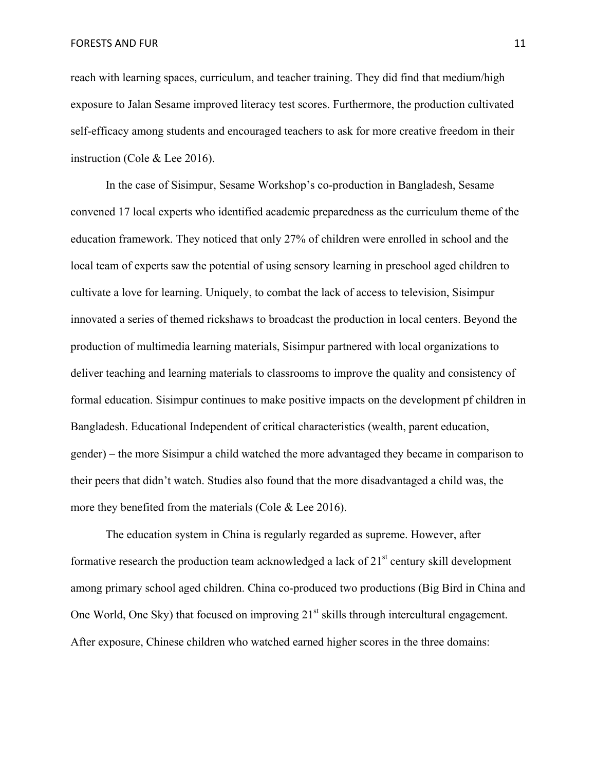**FORESTS AND FUR 11** 2008 **11** 

reach with learning spaces, curriculum, and teacher training. They did find that medium/high exposure to Jalan Sesame improved literacy test scores. Furthermore, the production cultivated self-efficacy among students and encouraged teachers to ask for more creative freedom in their instruction (Cole & Lee 2016).

In the case of Sisimpur, Sesame Workshop's co-production in Bangladesh, Sesame convened 17 local experts who identified academic preparedness as the curriculum theme of the education framework. They noticed that only 27% of children were enrolled in school and the local team of experts saw the potential of using sensory learning in preschool aged children to cultivate a love for learning. Uniquely, to combat the lack of access to television, Sisimpur innovated a series of themed rickshaws to broadcast the production in local centers. Beyond the production of multimedia learning materials, Sisimpur partnered with local organizations to deliver teaching and learning materials to classrooms to improve the quality and consistency of formal education. Sisimpur continues to make positive impacts on the development pf children in Bangladesh. Educational Independent of critical characteristics (wealth, parent education, gender) – the more Sisimpur a child watched the more advantaged they became in comparison to their peers that didn't watch. Studies also found that the more disadvantaged a child was, the more they benefited from the materials (Cole & Lee 2016).

The education system in China is regularly regarded as supreme. However, after formative research the production team acknowledged a lack of  $21<sup>st</sup>$  century skill development among primary school aged children. China co-produced two productions (Big Bird in China and One World, One Sky) that focused on improving  $21<sup>st</sup>$  skills through intercultural engagement. After exposure, Chinese children who watched earned higher scores in the three domains: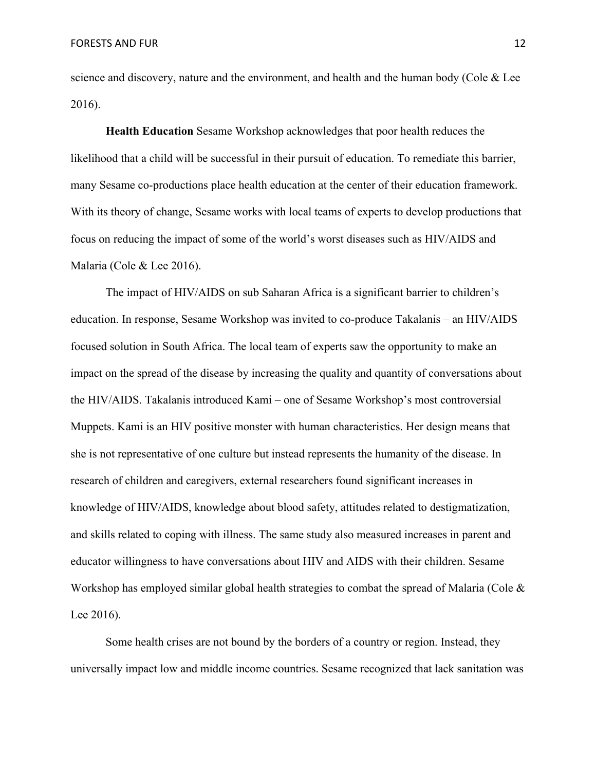science and discovery, nature and the environment, and health and the human body (Cole  $& \& \text{Lee}$ 2016).

**Health Education** Sesame Workshop acknowledges that poor health reduces the likelihood that a child will be successful in their pursuit of education. To remediate this barrier, many Sesame co-productions place health education at the center of their education framework. With its theory of change, Sesame works with local teams of experts to develop productions that focus on reducing the impact of some of the world's worst diseases such as HIV/AIDS and Malaria (Cole & Lee 2016).

The impact of HIV/AIDS on sub Saharan Africa is a significant barrier to children's education. In response, Sesame Workshop was invited to co-produce Takalanis – an HIV/AIDS focused solution in South Africa. The local team of experts saw the opportunity to make an impact on the spread of the disease by increasing the quality and quantity of conversations about the HIV/AIDS. Takalanis introduced Kami – one of Sesame Workshop's most controversial Muppets. Kami is an HIV positive monster with human characteristics. Her design means that she is not representative of one culture but instead represents the humanity of the disease. In research of children and caregivers, external researchers found significant increases in knowledge of HIV/AIDS, knowledge about blood safety, attitudes related to destigmatization, and skills related to coping with illness. The same study also measured increases in parent and educator willingness to have conversations about HIV and AIDS with their children. Sesame Workshop has employed similar global health strategies to combat the spread of Malaria (Cole  $\&$ Lee 2016).

Some health crises are not bound by the borders of a country or region. Instead, they universally impact low and middle income countries. Sesame recognized that lack sanitation was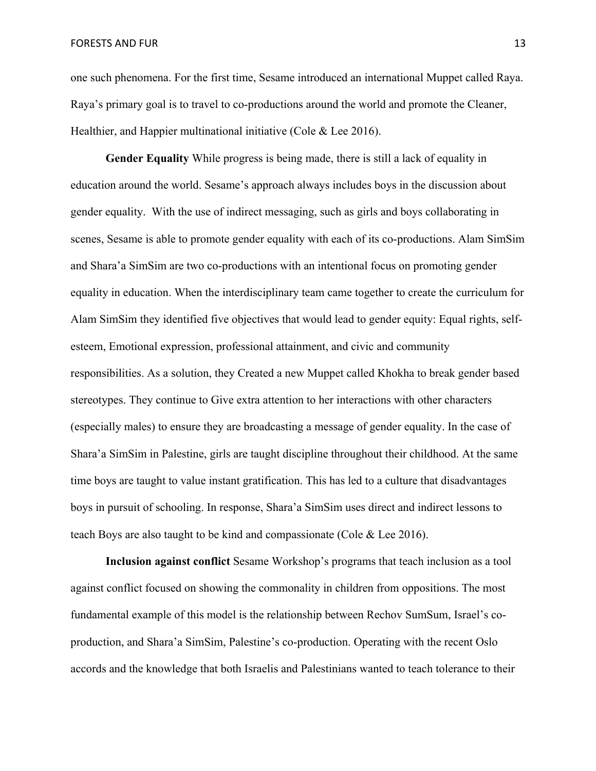**FORESTS AND FUR 13** 13

one such phenomena. For the first time, Sesame introduced an international Muppet called Raya. Raya's primary goal is to travel to co-productions around the world and promote the Cleaner, Healthier, and Happier multinational initiative (Cole & Lee 2016).

**Gender Equality** While progress is being made, there is still a lack of equality in education around the world. Sesame's approach always includes boys in the discussion about gender equality. With the use of indirect messaging, such as girls and boys collaborating in scenes, Sesame is able to promote gender equality with each of its co-productions. Alam SimSim and Shara'a SimSim are two co-productions with an intentional focus on promoting gender equality in education. When the interdisciplinary team came together to create the curriculum for Alam SimSim they identified five objectives that would lead to gender equity: Equal rights, selfesteem, Emotional expression, professional attainment, and civic and community responsibilities. As a solution, they Created a new Muppet called Khokha to break gender based stereotypes. They continue to Give extra attention to her interactions with other characters (especially males) to ensure they are broadcasting a message of gender equality. In the case of Shara'a SimSim in Palestine, girls are taught discipline throughout their childhood. At the same time boys are taught to value instant gratification. This has led to a culture that disadvantages boys in pursuit of schooling. In response, Shara'a SimSim uses direct and indirect lessons to teach Boys are also taught to be kind and compassionate (Cole & Lee 2016).

**Inclusion against conflict** Sesame Workshop's programs that teach inclusion as a tool against conflict focused on showing the commonality in children from oppositions. The most fundamental example of this model is the relationship between Rechov SumSum, Israel's coproduction, and Shara'a SimSim, Palestine's co-production. Operating with the recent Oslo accords and the knowledge that both Israelis and Palestinians wanted to teach tolerance to their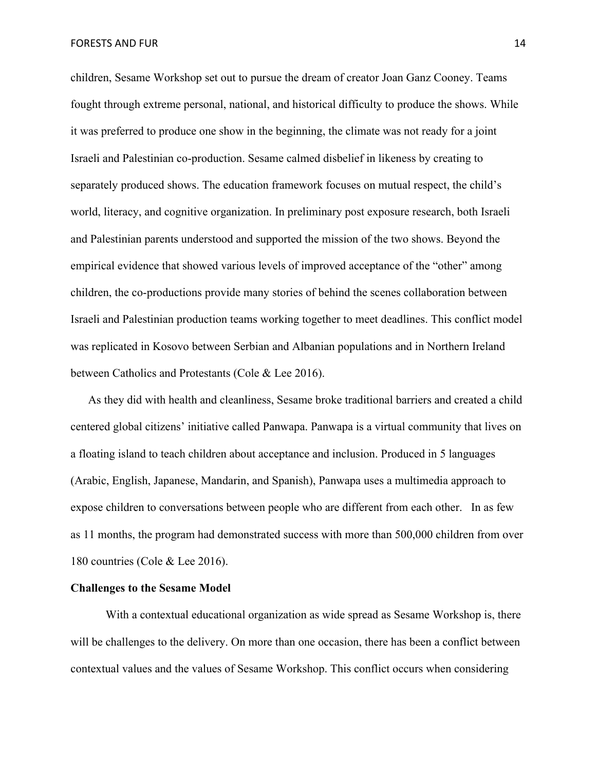**FORESTS AND FUR 14** PORESTS AND FUR

children, Sesame Workshop set out to pursue the dream of creator Joan Ganz Cooney. Teams fought through extreme personal, national, and historical difficulty to produce the shows. While it was preferred to produce one show in the beginning, the climate was not ready for a joint Israeli and Palestinian co-production. Sesame calmed disbelief in likeness by creating to separately produced shows. The education framework focuses on mutual respect, the child's world, literacy, and cognitive organization. In preliminary post exposure research, both Israeli and Palestinian parents understood and supported the mission of the two shows. Beyond the empirical evidence that showed various levels of improved acceptance of the "other" among children, the co-productions provide many stories of behind the scenes collaboration between Israeli and Palestinian production teams working together to meet deadlines. This conflict model was replicated in Kosovo between Serbian and Albanian populations and in Northern Ireland between Catholics and Protestants (Cole & Lee 2016).

As they did with health and cleanliness, Sesame broke traditional barriers and created a child centered global citizens' initiative called Panwapa. Panwapa is a virtual community that lives on a floating island to teach children about acceptance and inclusion. Produced in 5 languages (Arabic, English, Japanese, Mandarin, and Spanish), Panwapa uses a multimedia approach to expose children to conversations between people who are different from each other. In as few as 11 months, the program had demonstrated success with more than 500,000 children from over 180 countries (Cole & Lee 2016).

### **Challenges to the Sesame Model**

With a contextual educational organization as wide spread as Sesame Workshop is, there will be challenges to the delivery. On more than one occasion, there has been a conflict between contextual values and the values of Sesame Workshop. This conflict occurs when considering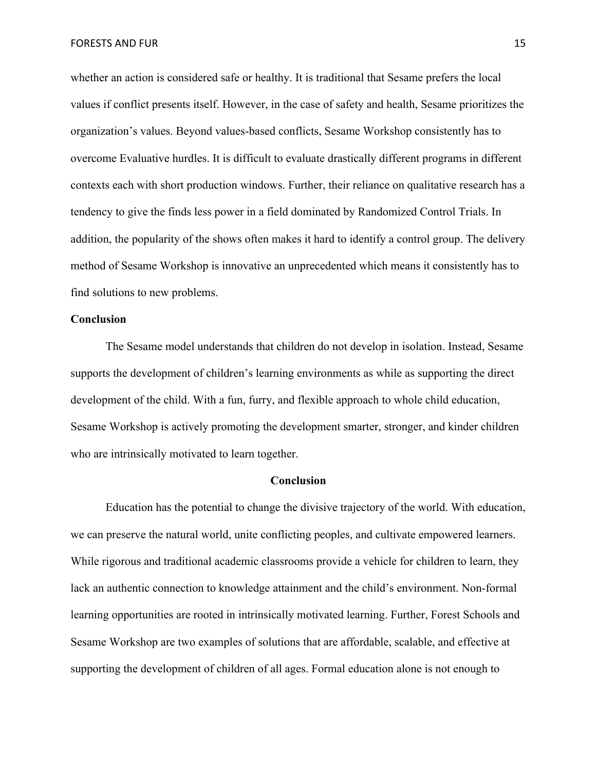whether an action is considered safe or healthy. It is traditional that Sesame prefers the local values if conflict presents itself. However, in the case of safety and health, Sesame prioritizes the organization's values. Beyond values-based conflicts, Sesame Workshop consistently has to overcome Evaluative hurdles. It is difficult to evaluate drastically different programs in different contexts each with short production windows. Further, their reliance on qualitative research has a tendency to give the finds less power in a field dominated by Randomized Control Trials. In addition, the popularity of the shows often makes it hard to identify a control group. The delivery method of Sesame Workshop is innovative an unprecedented which means it consistently has to find solutions to new problems.

#### **Conclusion**

The Sesame model understands that children do not develop in isolation. Instead, Sesame supports the development of children's learning environments as while as supporting the direct development of the child. With a fun, furry, and flexible approach to whole child education, Sesame Workshop is actively promoting the development smarter, stronger, and kinder children who are intrinsically motivated to learn together.

### **Conclusion**

Education has the potential to change the divisive trajectory of the world. With education, we can preserve the natural world, unite conflicting peoples, and cultivate empowered learners. While rigorous and traditional academic classrooms provide a vehicle for children to learn, they lack an authentic connection to knowledge attainment and the child's environment. Non-formal learning opportunities are rooted in intrinsically motivated learning. Further, Forest Schools and Sesame Workshop are two examples of solutions that are affordable, scalable, and effective at supporting the development of children of all ages. Formal education alone is not enough to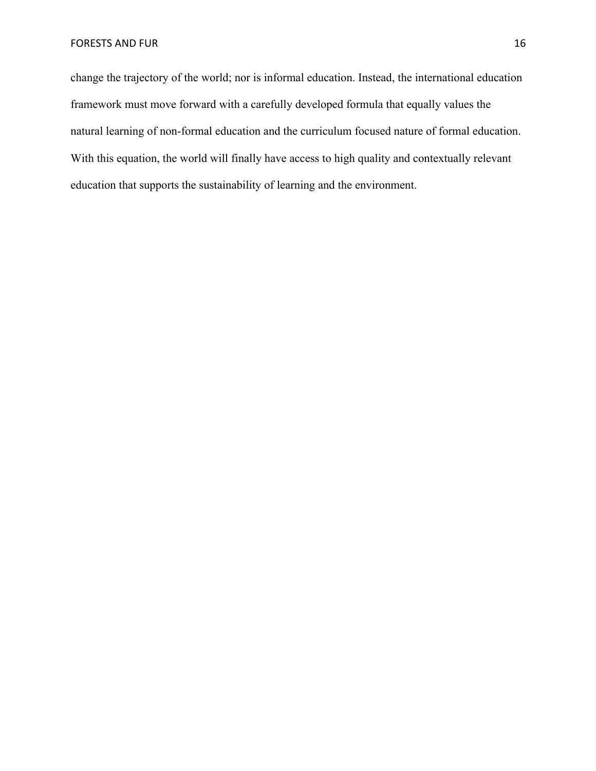change the trajectory of the world; nor is informal education. Instead, the international education framework must move forward with a carefully developed formula that equally values the natural learning of non-formal education and the curriculum focused nature of formal education. With this equation, the world will finally have access to high quality and contextually relevant education that supports the sustainability of learning and the environment.